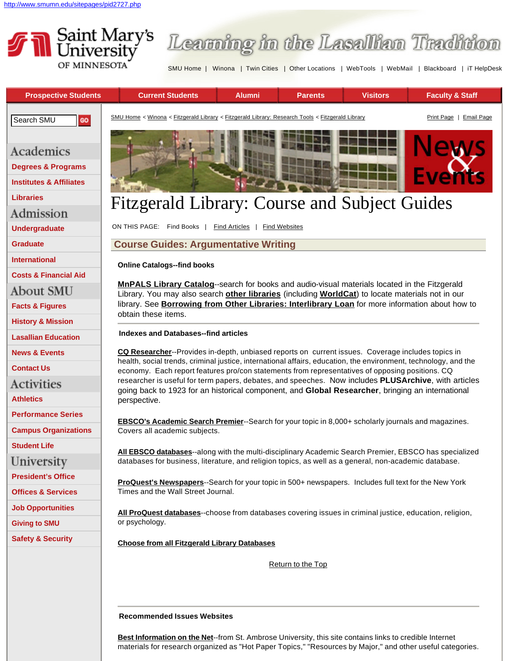

# Learning in the Lasallian Tradition

[SMU Home](http://www.smumn.edu/) | [Winona](http://www.smumn.edu/sitepages/pid231.php) | [Twin Cities](http://www.smumn.edu/sitepages/pid232.php) | [Other Locations](http://www.smumn.edu/sitepages/pid14.php) | [WebTools](https://webtools.smumn.edu/) | [WebMail](http://mail.smumn.edu/) | [Blackboard](http://courses.smumn.edu/) | [iT HelpDesk](http://www2.smumn.edu/helpdesk/)

| <b>Prospective Students</b>        | <b>Current Students</b>                                                                                                                                                                                                                                                                                                                                                                                                                                                                                                                                                                                                                                         | <b>Alumni</b> | <b>Parents</b> | <b>Visitors</b> | <b>Faculty &amp; Staff</b> |  |
|------------------------------------|-----------------------------------------------------------------------------------------------------------------------------------------------------------------------------------------------------------------------------------------------------------------------------------------------------------------------------------------------------------------------------------------------------------------------------------------------------------------------------------------------------------------------------------------------------------------------------------------------------------------------------------------------------------------|---------------|----------------|-----------------|----------------------------|--|
| Search SMU<br>GO                   | SMU Home < Winona < Fitzgerald Library < Fitzgerald Library: Research Tools < Fitzgerald Library                                                                                                                                                                                                                                                                                                                                                                                                                                                                                                                                                                |               |                |                 | Print Page   Email Page    |  |
|                                    |                                                                                                                                                                                                                                                                                                                                                                                                                                                                                                                                                                                                                                                                 |               |                |                 |                            |  |
| Academics                          |                                                                                                                                                                                                                                                                                                                                                                                                                                                                                                                                                                                                                                                                 |               |                |                 | <b>News</b>                |  |
| <b>Degrees &amp; Programs</b>      |                                                                                                                                                                                                                                                                                                                                                                                                                                                                                                                                                                                                                                                                 |               |                |                 |                            |  |
| <b>Institutes &amp; Affiliates</b> |                                                                                                                                                                                                                                                                                                                                                                                                                                                                                                                                                                                                                                                                 |               |                |                 | Even                       |  |
| <b>Libraries</b>                   | <b>Fitzgerald Library: Course and Subject Guides</b>                                                                                                                                                                                                                                                                                                                                                                                                                                                                                                                                                                                                            |               |                |                 |                            |  |
| Admission                          |                                                                                                                                                                                                                                                                                                                                                                                                                                                                                                                                                                                                                                                                 |               |                |                 |                            |  |
| <b>Undergraduate</b>               | ON THIS PAGE: Find Books<br><b>Find Websites</b><br><b>Find Articles</b>                                                                                                                                                                                                                                                                                                                                                                                                                                                                                                                                                                                        |               |                |                 |                            |  |
| <b>Graduate</b>                    | <b>Course Guides: Argumentative Writing</b>                                                                                                                                                                                                                                                                                                                                                                                                                                                                                                                                                                                                                     |               |                |                 |                            |  |
| <b>International</b>               | <b>Online Catalogs--find books</b><br><b>MnPALS Library Catalog--search for books and audio-visual materials located in the Fitzgerald</b><br>Library. You may also search <b>other libraries</b> (including <b>WorldCat</b> ) to locate materials not in our<br>library. See Borrowing from Other Libraries: Interlibrary Loan for more information about how to<br>obtain these items.<br><b>Indexes and Databases--find articles</b><br>CQ Researcher--Provides in-depth, unbiased reports on current issues. Coverage includes topics in<br>health, social trends, criminal justice, international affairs, education, the environment, technology, and the |               |                |                 |                            |  |
| <b>Costs &amp; Financial Aid</b>   |                                                                                                                                                                                                                                                                                                                                                                                                                                                                                                                                                                                                                                                                 |               |                |                 |                            |  |
| About SMU                          |                                                                                                                                                                                                                                                                                                                                                                                                                                                                                                                                                                                                                                                                 |               |                |                 |                            |  |
| <b>Facts &amp; Figures</b>         |                                                                                                                                                                                                                                                                                                                                                                                                                                                                                                                                                                                                                                                                 |               |                |                 |                            |  |
| <b>History &amp; Mission</b>       |                                                                                                                                                                                                                                                                                                                                                                                                                                                                                                                                                                                                                                                                 |               |                |                 |                            |  |
| <b>Lasallian Education</b>         |                                                                                                                                                                                                                                                                                                                                                                                                                                                                                                                                                                                                                                                                 |               |                |                 |                            |  |
| <b>News &amp; Events</b>           |                                                                                                                                                                                                                                                                                                                                                                                                                                                                                                                                                                                                                                                                 |               |                |                 |                            |  |
| <b>Contact Us</b>                  | economy. Each report features pro/con statements from representatives of opposing positions. CQ<br>researcher is useful for term papers, debates, and speeches. Now includes PLUSArchive, with articles<br>going back to 1923 for an historical component, and Global Researcher, bringing an international                                                                                                                                                                                                                                                                                                                                                     |               |                |                 |                            |  |
| Activities                         |                                                                                                                                                                                                                                                                                                                                                                                                                                                                                                                                                                                                                                                                 |               |                |                 |                            |  |
| <b>Athletics</b>                   | perspective.                                                                                                                                                                                                                                                                                                                                                                                                                                                                                                                                                                                                                                                    |               |                |                 |                            |  |
| <b>Performance Series</b>          | <b>EBSCO's Academic Search Premier--Search for your topic in 8,000+ scholarly journals and magazines.</b><br>Covers all academic subjects.                                                                                                                                                                                                                                                                                                                                                                                                                                                                                                                      |               |                |                 |                            |  |
| <b>Campus Organizations</b>        |                                                                                                                                                                                                                                                                                                                                                                                                                                                                                                                                                                                                                                                                 |               |                |                 |                            |  |
| <b>Student Life</b>                | All EBSCO databases--along with the multi-disciplinary Academic Search Premier, EBSCO has specialized<br>databases for business, literature, and religion topics, as well as a general, non-academic database.<br>ProQuest's Newspapers--Search for your topic in 500+ newspapers. Includes full text for the New York<br>Times and the Wall Street Journal.                                                                                                                                                                                                                                                                                                    |               |                |                 |                            |  |
| University                         |                                                                                                                                                                                                                                                                                                                                                                                                                                                                                                                                                                                                                                                                 |               |                |                 |                            |  |
| <b>President's Office</b>          |                                                                                                                                                                                                                                                                                                                                                                                                                                                                                                                                                                                                                                                                 |               |                |                 |                            |  |
| <b>Offices &amp; Services</b>      |                                                                                                                                                                                                                                                                                                                                                                                                                                                                                                                                                                                                                                                                 |               |                |                 |                            |  |
| <b>Job Opportunities</b>           | All ProQuest databases--choose from databases covering issues in criminal justice, education, religion,                                                                                                                                                                                                                                                                                                                                                                                                                                                                                                                                                         |               |                |                 |                            |  |
| <b>Giving to SMU</b>               | or psychology.                                                                                                                                                                                                                                                                                                                                                                                                                                                                                                                                                                                                                                                  |               |                |                 |                            |  |
| <b>Safety &amp; Security</b>       | <b>Choose from all Fitzgerald Library Databases</b><br>Return to the Top                                                                                                                                                                                                                                                                                                                                                                                                                                                                                                                                                                                        |               |                |                 |                            |  |
|                                    |                                                                                                                                                                                                                                                                                                                                                                                                                                                                                                                                                                                                                                                                 |               |                |                 |                            |  |
|                                    |                                                                                                                                                                                                                                                                                                                                                                                                                                                                                                                                                                                                                                                                 |               |                |                 |                            |  |
|                                    |                                                                                                                                                                                                                                                                                                                                                                                                                                                                                                                                                                                                                                                                 |               |                |                 |                            |  |
|                                    |                                                                                                                                                                                                                                                                                                                                                                                                                                                                                                                                                                                                                                                                 |               |                |                 |                            |  |

**Recommended Issues Websites**

**[Best Information on the Net](http://library.sau.edu/bestinfo/)**--from St. Ambrose University, this site contains links to credible Internet materials for research organized as "Hot Paper Topics," "Resources by Major," and other useful categories.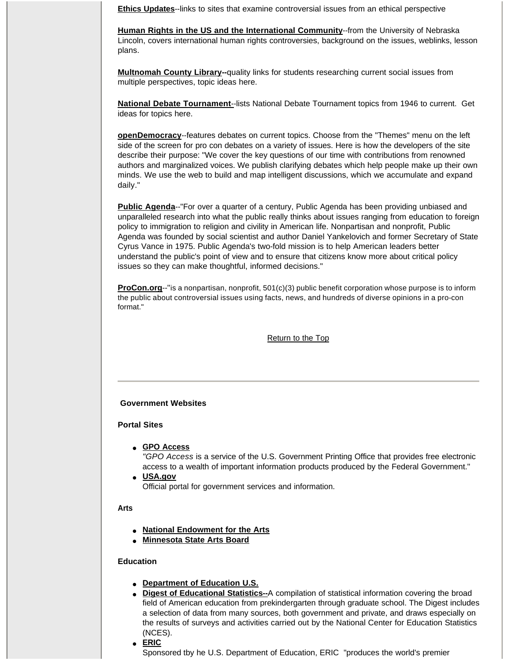**[Ethics Updates](http://ethics.sandiego.edu/)**--links to sites that examine controversial issues from an ethical perspective

**[Human Rights in the US and the International Community](http://www.unl.edu/HumanR/teach/index.htm)**--from the University of Nebraska Lincoln, covers international human rights controversies, background on the issues, weblinks, lesson plans.

**[Multnomah County Library-](http://www.multcolib.org/homework/sochc.html)-**quality links for students researching current social issues from multiple perspectives, topic ideas here.

**[National Debate Tournament](http://www.wfu.edu/organizations/NDT/HistoricalLists/topics.html)**--lists National Debate Tournament topics from 1946 to current. Get ideas for topics here.

**[openDemocracy](http://www.opendemocracy.net/home/index.jsp)**--features debates on current topics. Choose from the "Themes" menu on the left side of the screen for pro con debates on a variety of issues. Here is how the developers of the site describe their purpose: "We cover the key questions of our time with contributions from renowned authors and marginalized voices. We publish clarifying debates which help people make up their own minds. We use the web to build and map intelligent discussions, which we accumulate and expand daily."

**[Public Agenda](http://www.publicagenda.org/)**--"For over a quarter of a century, Public Agenda has been providing unbiased and unparalleled research into what the public really thinks about issues ranging from education to foreign policy to immigration to religion and civility in American life. Nonpartisan and nonprofit, Public Agenda was founded by social scientist and author Daniel Yankelovich and former Secretary of State Cyrus Vance in 1975. Public Agenda's two-fold mission is to help American leaders better understand the public's point of view and to ensure that citizens know more about critical policy issues so they can make thoughtful, informed decisions."

**[ProCon.org](http://www.procon.org/)**--"is a nonpartisan, nonprofit, 501(c)(3) public benefit corporation whose purpose is to inform the public about controversial issues using facts, news, and hundreds of diverse opinions in a pro-con format."

[Return to the Top](http://www.smumn.edu/sitepages/pid2727.php#Ret)

#### **Government Websites**

#### **Portal Sites**

● **[GPO Access](http://www.gpoaccess.gov/index.html)**

"GPO Access is a service of the U.S. Government Printing Office that provides free electronic access to a wealth of important information products produced by the Federal Government."

● **[USA.gov](http://www.usa.gov/)**

Official portal for government services and information.

### **Arts**

- **[National Endowment for the Arts](http://arts.endow.gov/)**
- **[Minnesota State Arts Board](http://www.arts.state.mn.us/)**

#### **Education**

- **[Department of Education U.S.](http://www.ed.gov/)**
- **[Digest of Educational Statistics--](http://nces.ed.gov/pubs2002/digest2001/)**A compilation of statistical information covering the broad field of American education from prekindergarten through graduate school. The Digest includes a selection of data from many sources, both government and private, and draws especially on the results of surveys and activities carried out by the National Center for Education Statistics (NCES).
- **[ERIC](http://www.eric.ed.gov/)**

Sponsored tby he U.S. Department of Education, ERIC "produces the world's premier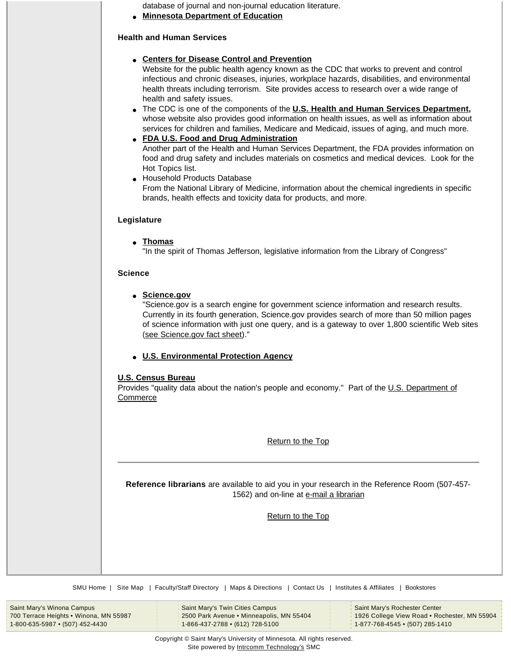database of journal and non-journal education literature.

● **[Minnesota Department of Education](http://education.state.mn.us/html/mde_home.htm)**

## **Health and Human Services**

# ● **[Centers for Disease Control and Prevention](http://www.cdc.gov/)**

Website for the public health agency known as the CDC that works to prevent and control infectious and chronic diseases, injuries, workplace hazards, disabilities, and environmental health threats including terrorism. Site provides access to research over a wide range of health and safety issues.

- The CDC is one of the components of the **[U.S. Health and Human Services Department,](http://www.hhs.gov/)** whose website also provides good information on health issues, as well as information about services for children and families, Medicare and Medicaid, issues of aging, and much more.
- **[FDA U.S. Food and Drug Administration](http://www.fda.gov/)** Another part of the Health and Human Services Department, the FDA provides information on food and drug safety and includes materials on cosmetics and medical devices. Look for the Hot Topics list.
- Household Products Database

From the National Library of Medicine, information about the chemical ingredients in specific brands, health effects and toxicity data for products, and more.

# **Legislature**

● **[Thomas](http://thomas.loc.gov/)**

"In the spirit of Thomas Jefferson, legislative information from the Library of Congress"

# **Science**

● **[Science.gov](http://www.science.gov/)**

"Science.gov is a search engine for government science information and research results. Currently in its fourth generation, Science.gov provides search of more than 50 million pages of science information with just one query, and is a gateway to over 1,800 scientific Web sites ([see Science.gov fact sheet\)](http://www.science.gov/communications/library/scigovfacts4.0.pdf)."

# ● **[U.S. Environmental Protection Agency](http://www.epa.gov/)**

### **[U.S. Census Bureau](http://www.census.gov/)**

Provides "quality data about the nation's people and economy." Part of the U.S. Department of **[Commerce](http://www.commerce.gov/index.htm)** 

[Return to the Top](http://www.smumn.edu/sitepages/pid2727.php#Ret)

**Reference librarians** are available to aid you in your research in the Reference Room (507-457 1562) and on-line at [e-mail a librarian](http://www.smumn.edu/sitepages/pid2601.php)

[Return to the Top](http://www.smumn.edu/sitepages/pid2727.php#Ret)

[SMU Home](http://www.smumn.edu/) | [Site Map](http://www.smumn.edu/sitepages/pid38.php) | [Faculty/Staff Directory](http://140.190.135.250/Fac_Staff/index.html) | [Maps & Directions](http://www.smumn.edu/sitepages/pid1777.php) | [Contact Us](http://www.smumn.edu/sitepages/pid1803.php) | [Institutes & Affiliates](http://www.smumn.edu/sitepages/pid602.php) | [Bookstores](http://www.smumn.edu/sitepages/pid1875.php)

Saint Mary's Winona Campus 700 Terrace Heights • Winona, MN 55987 1-800-635-5987 • (507) 452-4430

Saint Mary's Twin Cities Campus 2500 Park Avenue • Minneapolis, MN 55404 1-866-437-2788 • (612) 728-5100

Saint Mary's Rochester Center 1926 College View Road • Rochester, MN 55904 1-877-768-4545 • (507) 285-1410

Copyright © Saint Mary's University of Minnesota. All rights reserved. Site powered by **[Intrcomm Technology's](http://www.intrcomm.net/) SMC**